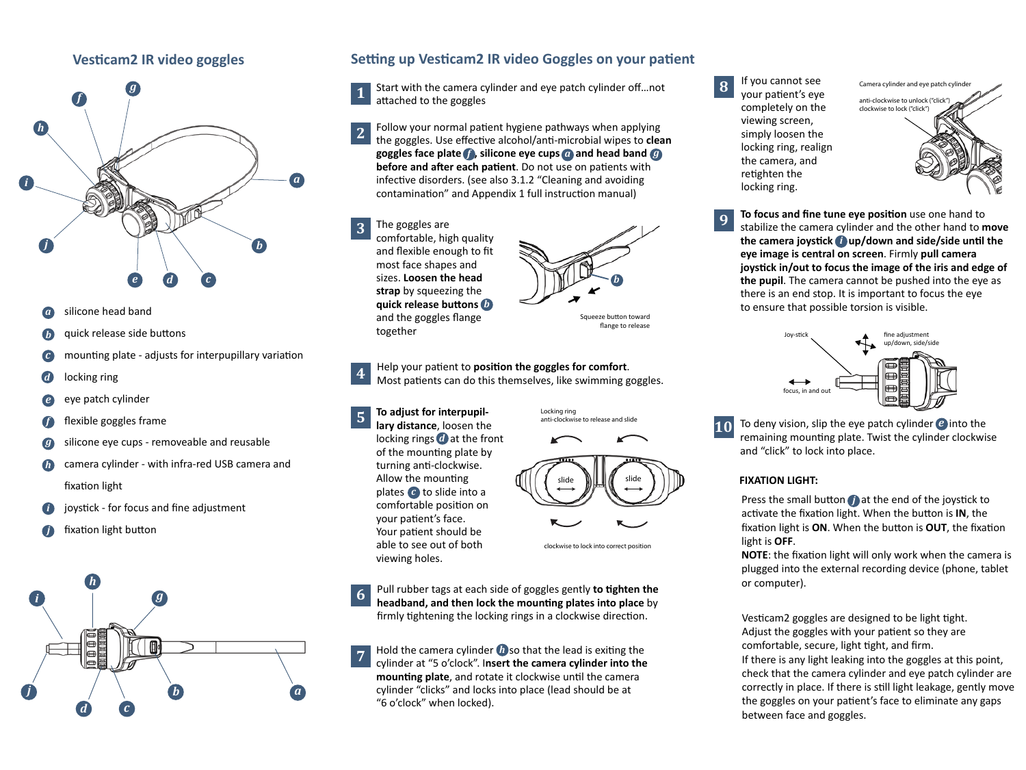## **Vesticam2 IR video goggles**



- silicone head band *a*
- quick release side buttons *b*
- mounting plate adjusts for interpupillary variation *c*
- locking ring *d*
- eye patch cylinder *e*
- flexible goggles frame
- silicone eye cups removeable and reusable *g*
- camera cylinder with infra-red USB camera and fixation light *h*
- joystick for focus and fine adjustment *i*
- fixation light button *j*



### **Setting up Vesticam2 IR video Goggles on your patient**

Start with the camera cylinder and eye patch cylinder off...not attached to the goggles **1**

- goggles face plate  $f$ , silicone eye cups and head band  $g$ Follow your normal patient hygiene pathways when applying the goggles. Use effective alcohol/anti-microbial wipes to **clean before and after each patient**. Do not use on patients with infective disorders. (see also 3.1.2 "Cleaning and avoiding contamination" and Appendix 1 full instruction manual) **2**
- *b* **quick release buttons**  The goggles are comfortable, high quality and flexible enough to fit most face shapes and sizes. **Loosen the head strap** by squeezing the and the goggles flange together **3**



Squeeze button toward flange to release

3. Help your patient to **position the goggles for comfort**. Most patients can do this themselves, like swimming goggles. **4**

plates **c** to slide into a locking rings a at the front 4. **To adjust for interpupillary distance**, loosen the of the mounting plate by turning anti-clockwise. Allow the mounting comfortable position on your patient's face. Your patient should be able to see out of both viewing holes.

**5**



clockwise to lock into correct position

5. Pull rubber tags at each side of goggles gently **to tighten the headband, and then lock the mounting plates into place** by firmly tightening the locking rings in a clockwise direction. **6**

**h Hold** the camera cylinder **b** so that the lead is exiting the cylinder at "5 o'clock". I**nsert the camera cylinder into the mounting plate**, and rotate it clockwise until the camera cylinder "clicks" and locks into place (lead should be at "6 o'clock" when locked). **7**

If you cannot see your patient's eye completely on the viewing screen, simply loosen the locking ring, realign the camera, and retighten the locking ring. **8**



*i* **the camera joystick up/down and side/side until the**  7. **To focus and fine tune eye position** use one hand to stabilize the camera cylinder and the other hand to **move eye image is central on screen**. Firmly **pull camera joystick in/out to focus the image of the iris and edge of the pupil**. The camera cannot be pushed into the eye as there is an end stop. It is important to focus the eye to ensure that possible torsion is visible. **9**



**f exible** goggles frame **of the controlled and the controlled and the set of the set of the set of the set of the set of the set of the set of the set of the set of the set of the set of the set of the set of the set of** remaining mounting plate. Twist the cylinder clockwise and "click" to lock into place. **10**

#### **FIXATION LIGHT:**

Press the small button *j* at the end of the joystick to activate the fixation light. When the button is **IN**, the fixation light is **ON**. When the button is **OUT**, the fixation light is **OFF**.

**NOTE**: the fixation light will only work when the camera is plugged into the external recording device (phone, tablet or computer).

Vesticam2 goggles are designed to be light tight. Adjust the goggles with your patient so they are comfortable, secure, light tight, and firm. If there is any light leaking into the goggles at this point, check that the camera cylinder and eye patch cylinder are correctly in place. If there is still light leakage, gently move the goggles on your patient's face to eliminate any gaps between face and goggles.